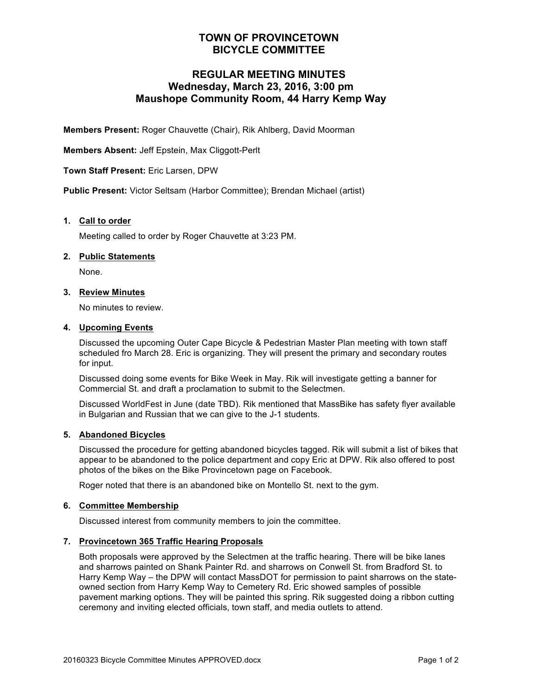## **TOWN OF PROVINCETOWN BICYCLE COMMITTEE**

# **REGULAR MEETING MINUTES Wednesday, March 23, 2016, 3:00 pm Maushope Community Room, 44 Harry Kemp Way**

**Members Present:** Roger Chauvette (Chair), Rik Ahlberg, David Moorman

**Members Absent:** Jeff Epstein, Max Cliggott-Perlt

**Town Staff Present:** Eric Larsen, DPW

**Public Present:** Victor Seltsam (Harbor Committee); Brendan Michael (artist)

#### **1. Call to order**

Meeting called to order by Roger Chauvette at 3:23 PM.

#### **2. Public Statements**

None.

### **3. Review Minutes**

No minutes to review.

#### **4. Upcoming Events**

Discussed the upcoming Outer Cape Bicycle & Pedestrian Master Plan meeting with town staff scheduled fro March 28. Eric is organizing. They will present the primary and secondary routes for input.

Discussed doing some events for Bike Week in May. Rik will investigate getting a banner for Commercial St. and draft a proclamation to submit to the Selectmen.

Discussed WorldFest in June (date TBD). Rik mentioned that MassBike has safety flyer available in Bulgarian and Russian that we can give to the J-1 students.

#### **5. Abandoned Bicycles**

Discussed the procedure for getting abandoned bicycles tagged. Rik will submit a list of bikes that appear to be abandoned to the police department and copy Eric at DPW. Rik also offered to post photos of the bikes on the Bike Provincetown page on Facebook.

Roger noted that there is an abandoned bike on Montello St. next to the gym.

#### **6. Committee Membership**

Discussed interest from community members to join the committee.

#### **7. Provincetown 365 Traffic Hearing Proposals**

Both proposals were approved by the Selectmen at the traffic hearing. There will be bike lanes and sharrows painted on Shank Painter Rd. and sharrows on Conwell St. from Bradford St. to Harry Kemp Way – the DPW will contact MassDOT for permission to paint sharrows on the stateowned section from Harry Kemp Way to Cemetery Rd. Eric showed samples of possible pavement marking options. They will be painted this spring. Rik suggested doing a ribbon cutting ceremony and inviting elected officials, town staff, and media outlets to attend.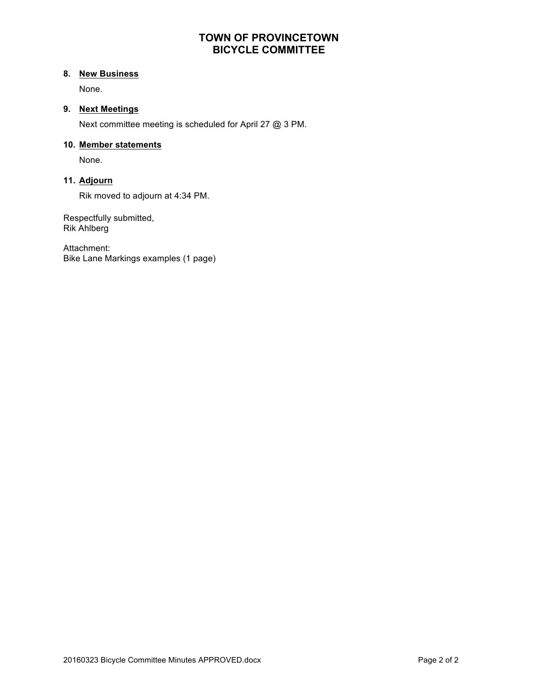# **TOWN OF PROVINCETOWN BICYCLE COMMITTEE**

### **8. New Business**

None.

### **9. Next Meetings**

Next committee meeting is scheduled for April 27 @ 3 PM.

### **10. Member statements**

None.

## **11. Adjourn**

Rik moved to adjourn at 4:34 PM.

Respectfully submitted, Rik Ahlberg

Attachment: Bike Lane Markings examples (1 page)